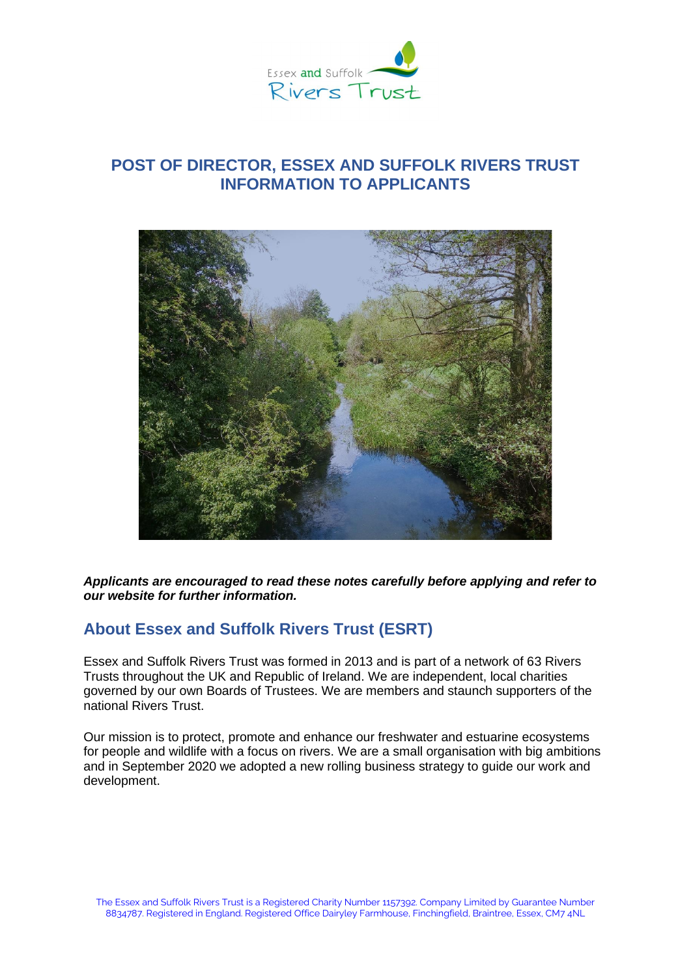

# **POST OF DIRECTOR, ESSEX AND SUFFOLK RIVERS TRUST INFORMATION TO APPLICANTS**



*Applicants are encouraged to read these notes carefully before applying and refer to our website for further information.*

### **About Essex and Suffolk Rivers Trust (ESRT)**

Essex and Suffolk Rivers Trust was formed in 2013 and is part of a network of 63 Rivers Trusts throughout the UK and Republic of Ireland. We are independent, local charities governed by our own Boards of Trustees. We are members and staunch supporters of the national Rivers Trust.

Our mission is to protect, promote and enhance our freshwater and estuarine ecosystems for people and wildlife with a focus on rivers. We are a small organisation with big ambitions and in September 2020 we adopted a new rolling business strategy to guide our work and development.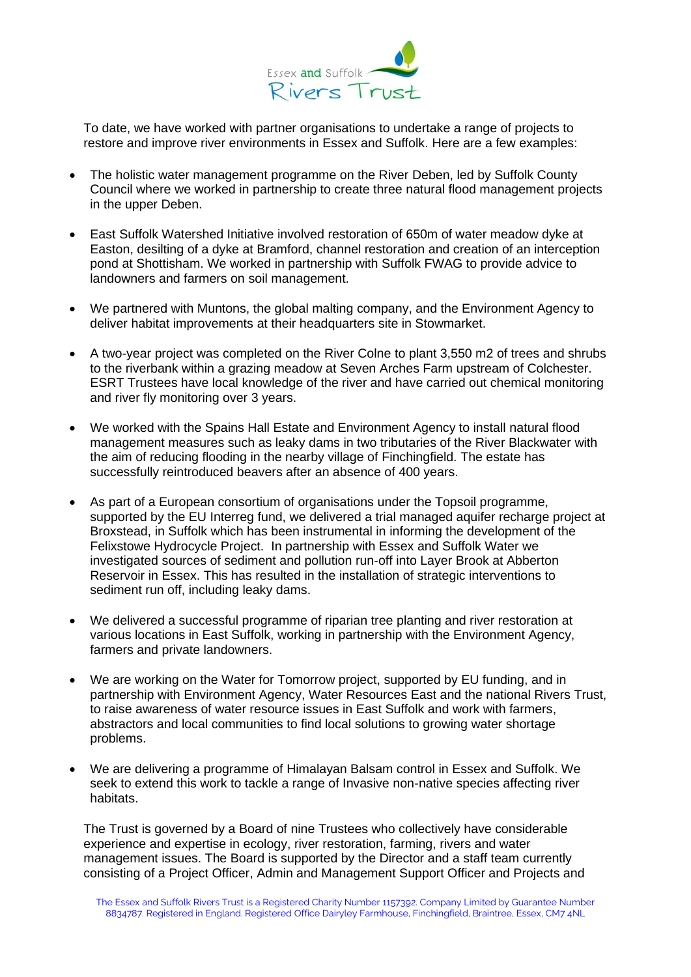

To date, we have worked with partner organisations to undertake a range of projects to restore and improve river environments in Essex and Suffolk. Here are a few examples:

- The holistic water management programme on the River Deben, led by Suffolk County Council where we worked in partnership to create three natural flood management projects in the upper Deben.
- East Suffolk Watershed Initiative involved restoration of 650m of water meadow dyke at Easton, desilting of a dyke at Bramford, channel restoration and creation of an interception pond at Shottisham. We worked in partnership with Suffolk FWAG to provide advice to landowners and farmers on soil management.
- We partnered with Muntons, the global malting company, and the Environment Agency to deliver habitat improvements at their headquarters site in Stowmarket.
- A two-year project was completed on the River Colne to plant 3,550 m2 of trees and shrubs to the riverbank within a grazing meadow at Seven Arches Farm upstream of Colchester. ESRT Trustees have local knowledge of the river and have carried out chemical monitoring and river fly monitoring over 3 years.
- We worked with the Spains Hall Estate and Environment Agency to install natural flood management measures such as leaky dams in two tributaries of the River Blackwater with the aim of reducing flooding in the nearby village of Finchingfield. The estate has successfully reintroduced beavers after an absence of 400 years.
- As part of a European consortium of organisations under the Topsoil programme, supported by the EU Interreg fund, we delivered a trial managed aquifer recharge project at Broxstead, in Suffolk which has been instrumental in informing the development of the Felixstowe Hydrocycle Project. In partnership with Essex and Suffolk Water we investigated sources of sediment and pollution run-off into Layer Brook at Abberton Reservoir in Essex. This has resulted in the installation of strategic interventions to sediment run off, including leaky dams.
- We delivered a successful programme of riparian tree planting and river restoration at various locations in East Suffolk, working in partnership with the Environment Agency, farmers and private landowners.
- We are working on the Water for Tomorrow project, supported by EU funding, and in partnership with Environment Agency, Water Resources East and the national Rivers Trust, to raise awareness of water resource issues in East Suffolk and work with farmers, abstractors and local communities to find local solutions to growing water shortage problems.
- We are delivering a programme of Himalayan Balsam control in Essex and Suffolk. We seek to extend this work to tackle a range of Invasive non-native species affecting river habitats.

The Trust is governed by a Board of nine Trustees who collectively have considerable experience and expertise in ecology, river restoration, farming, rivers and water management issues. The Board is supported by the Director and a staff team currently consisting of a Project Officer, Admin and Management Support Officer and Projects and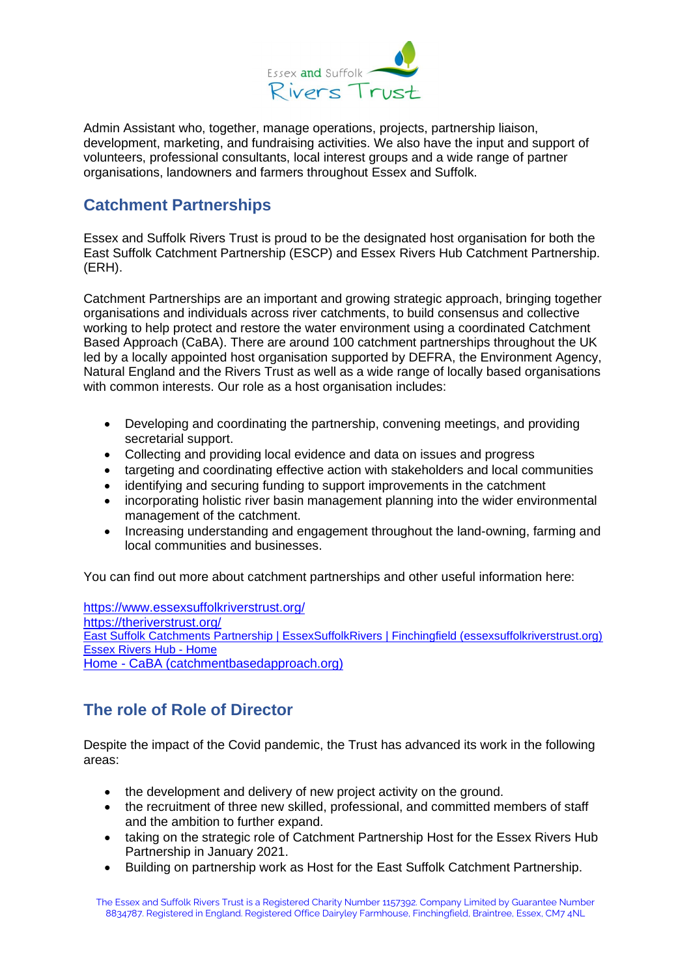

Admin Assistant who, together, manage operations, projects, partnership liaison, development, marketing, and fundraising activities. We also have the input and support of volunteers, professional consultants, local interest groups and a wide range of partner organisations, landowners and farmers throughout Essex and Suffolk.

## **Catchment Partnerships**

Essex and Suffolk Rivers Trust is proud to be the designated host organisation for both the East Suffolk Catchment Partnership (ESCP) and Essex Rivers Hub Catchment Partnership. (ERH).

Catchment Partnerships are an important and growing strategic approach, bringing together organisations and individuals across river catchments, to build consensus and collective working to help protect and restore the water environment using a coordinated Catchment Based Approach (CaBA). There are around 100 catchment partnerships throughout the UK led by a locally appointed host organisation supported by DEFRA, the Environment Agency, Natural England and the Rivers Trust as well as a wide range of locally based organisations with common interests. Our role as a host organisation includes:

- Developing and coordinating the partnership, convening meetings, and providing secretarial support.
- Collecting and providing local evidence and data on issues and progress
- targeting and coordinating effective action with stakeholders and local communities
- identifying and securing funding to support improvements in the catchment
- incorporating holistic river basin management planning into the wider environmental management of the catchment.
- Increasing understanding and engagement throughout the land-owning, farming and local communities and businesses.

You can find out more about catchment partnerships and other useful information here:

<https://www.essexsuffolkriverstrust.org/> <https://theriverstrust.org/> [East Suffolk Catchments Partnership | EssexSuffolkRivers | Finchingfield \(essexsuffolkriverstrust.org\)](https://www.essexsuffolkriverstrust.org/east-suffolk-catchments-partnership) [Essex Rivers Hub -](http://www.essexrivershub.org.uk/) Home Home - [CaBA \(catchmentbasedapproach.org\)](https://catchmentbasedapproach.org/)

# **The role of Role of Director**

Despite the impact of the Covid pandemic, the Trust has advanced its work in the following areas:

- the development and delivery of new project activity on the ground.
- the recruitment of three new skilled, professional, and committed members of staff and the ambition to further expand.
- taking on the strategic role of Catchment Partnership Host for the Essex Rivers Hub Partnership in January 2021.
- Building on partnership work as Host for the East Suffolk Catchment Partnership.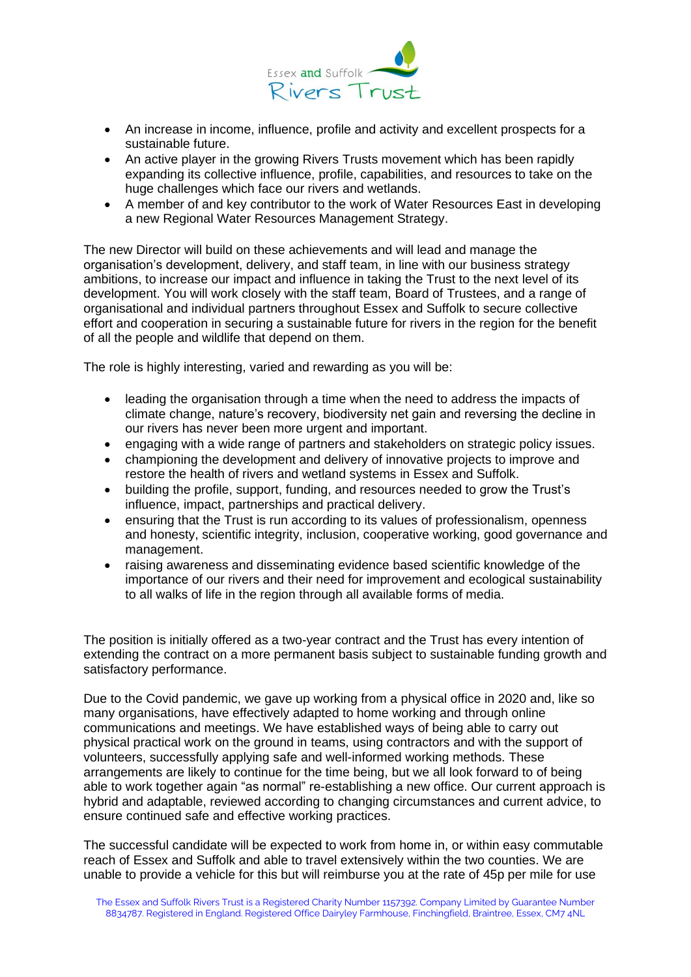

- An increase in income, influence, profile and activity and excellent prospects for a sustainable future.
- An active player in the growing Rivers Trusts movement which has been rapidly expanding its collective influence, profile, capabilities, and resources to take on the huge challenges which face our rivers and wetlands.
- A member of and key contributor to the work of Water Resources East in developing a new Regional Water Resources Management Strategy.

The new Director will build on these achievements and will lead and manage the organisation's development, delivery, and staff team, in line with our business strategy ambitions, to increase our impact and influence in taking the Trust to the next level of its development. You will work closely with the staff team, Board of Trustees, and a range of organisational and individual partners throughout Essex and Suffolk to secure collective effort and cooperation in securing a sustainable future for rivers in the region for the benefit of all the people and wildlife that depend on them.

The role is highly interesting, varied and rewarding as you will be:

- leading the organisation through a time when the need to address the impacts of climate change, nature's recovery, biodiversity net gain and reversing the decline in our rivers has never been more urgent and important.
- engaging with a wide range of partners and stakeholders on strategic policy issues.
- championing the development and delivery of innovative projects to improve and restore the health of rivers and wetland systems in Essex and Suffolk.
- building the profile, support, funding, and resources needed to grow the Trust's influence, impact, partnerships and practical delivery.
- ensuring that the Trust is run according to its values of professionalism, openness and honesty, scientific integrity, inclusion, cooperative working, good governance and management.
- raising awareness and disseminating evidence based scientific knowledge of the importance of our rivers and their need for improvement and ecological sustainability to all walks of life in the region through all available forms of media.

The position is initially offered as a two-year contract and the Trust has every intention of extending the contract on a more permanent basis subject to sustainable funding growth and satisfactory performance.

Due to the Covid pandemic, we gave up working from a physical office in 2020 and, like so many organisations, have effectively adapted to home working and through online communications and meetings. We have established ways of being able to carry out physical practical work on the ground in teams, using contractors and with the support of volunteers, successfully applying safe and well-informed working methods. These arrangements are likely to continue for the time being, but we all look forward to of being able to work together again "as normal" re-establishing a new office. Our current approach is hybrid and adaptable, reviewed according to changing circumstances and current advice, to ensure continued safe and effective working practices.

The successful candidate will be expected to work from home in, or within easy commutable reach of Essex and Suffolk and able to travel extensively within the two counties. We are unable to provide a vehicle for this but will reimburse you at the rate of 45p per mile for use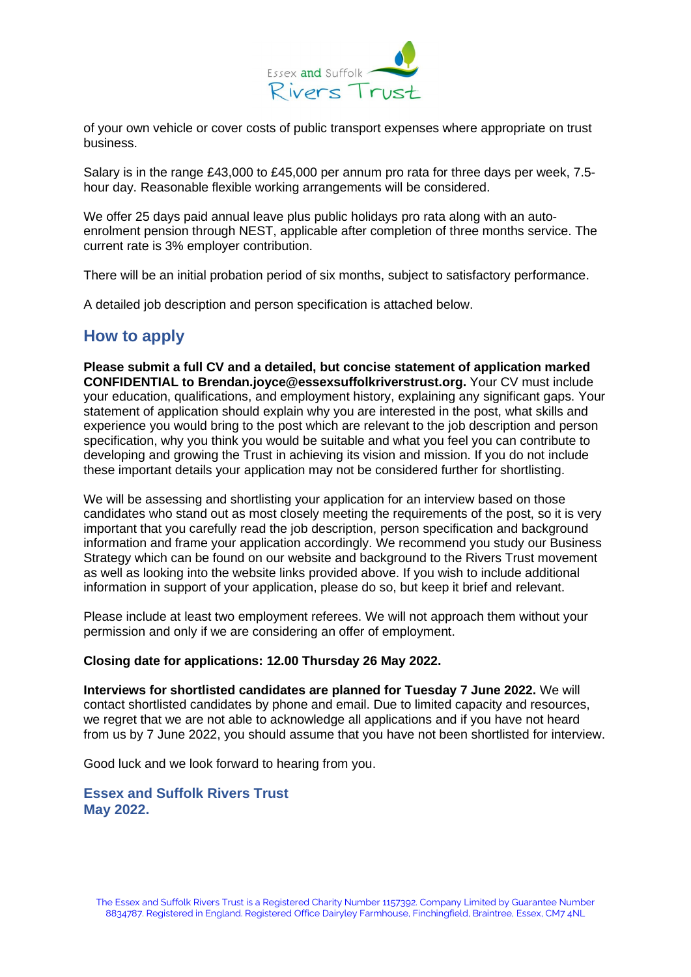

of your own vehicle or cover costs of public transport expenses where appropriate on trust business.

Salary is in the range £43,000 to £45,000 per annum pro rata for three days per week, 7.5 hour day. Reasonable flexible working arrangements will be considered.

We offer 25 days paid annual leave plus public holidays pro rata along with an autoenrolment pension through NEST, applicable after completion of three months service. The current rate is 3% employer contribution.

There will be an initial probation period of six months, subject to satisfactory performance.

A detailed job description and person specification is attached below.

### **How to apply**

**Please submit a full CV and a detailed, but concise statement of application marked CONFIDENTIAL to Brendan.joyce@essexsuffolkriverstrust.org.** Your CV must include your education, qualifications, and employment history, explaining any significant gaps. Your statement of application should explain why you are interested in the post, what skills and experience you would bring to the post which are relevant to the job description and person specification, why you think you would be suitable and what you feel you can contribute to developing and growing the Trust in achieving its vision and mission. If you do not include these important details your application may not be considered further for shortlisting.

We will be assessing and shortlisting your application for an interview based on those candidates who stand out as most closely meeting the requirements of the post, so it is very important that you carefully read the job description, person specification and background information and frame your application accordingly. We recommend you study our Business Strategy which can be found on our website and background to the Rivers Trust movement as well as looking into the website links provided above. If you wish to include additional information in support of your application, please do so, but keep it brief and relevant.

Please include at least two employment referees. We will not approach them without your permission and only if we are considering an offer of employment.

#### **Closing date for applications: 12.00 Thursday 26 May 2022.**

**Interviews for shortlisted candidates are planned for Tuesday 7 June 2022.** We will contact shortlisted candidates by phone and email. Due to limited capacity and resources, we regret that we are not able to acknowledge all applications and if you have not heard from us by 7 June 2022, you should assume that you have not been shortlisted for interview.

Good luck and we look forward to hearing from you.

**Essex and Suffolk Rivers Trust May 2022.**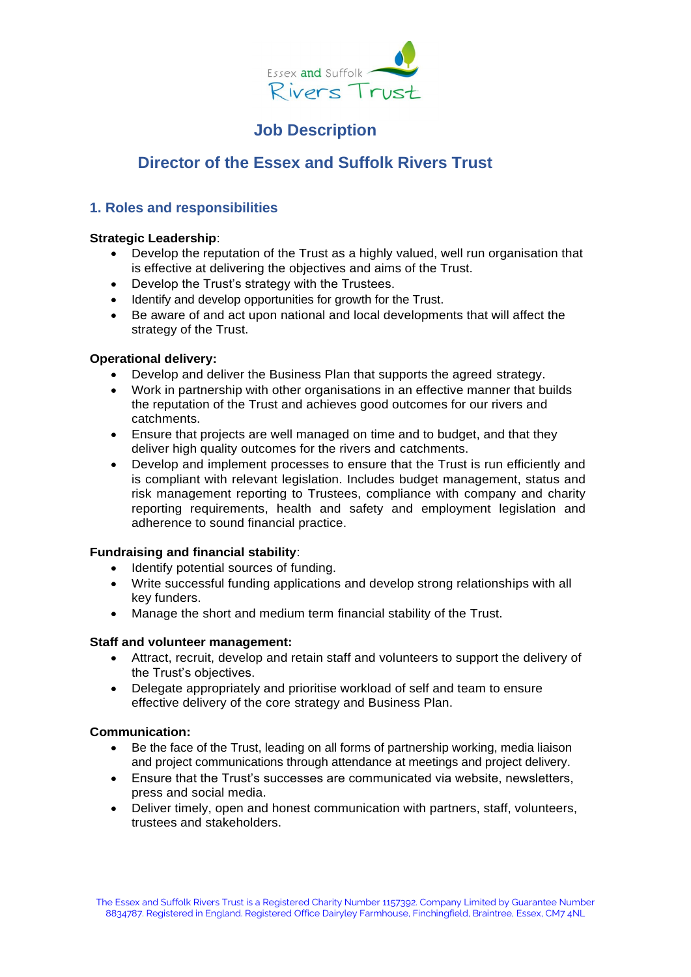

# **Job Description**

# **Director of the Essex and Suffolk Rivers Trust**

### **1. Roles and responsibilities**

#### **Strategic Leadership**:

- Develop the reputation of the Trust as a highly valued, well run organisation that is effective at delivering the objectives and aims of the Trust.
- Develop the Trust's strategy with the Trustees.
- Identify and develop opportunities for growth for the Trust.
- Be aware of and act upon national and local developments that will affect the strategy of the Trust.

#### **Operational delivery:**

- Develop and deliver the Business Plan that supports the agreed strategy.
- Work in partnership with other organisations in an effective manner that builds the reputation of the Trust and achieves good outcomes for our rivers and catchments.
- Ensure that projects are well managed on time and to budget, and that they deliver high quality outcomes for the rivers and catchments.
- Develop and implement processes to ensure that the Trust is run efficiently and is compliant with relevant legislation. Includes budget management, status and risk management reporting to Trustees, compliance with company and charity reporting requirements, health and safety and employment legislation and adherence to sound financial practice.

#### **Fundraising and financial stability**:

- Identify potential sources of funding.
- Write successful funding applications and develop strong relationships with all key funders.
- Manage the short and medium term financial stability of the Trust.

#### **Staff and volunteer management:**

- Attract, recruit, develop and retain staff and volunteers to support the delivery of the Trust's objectives.
- Delegate appropriately and prioritise workload of self and team to ensure effective delivery of the core strategy and Business Plan.

#### **Communication:**

- Be the face of the Trust, leading on all forms of partnership working, media liaison and project communications through attendance at meetings and project delivery.
- Ensure that the Trust's successes are communicated via website, newsletters, press and social media.
- Deliver timely, open and honest communication with partners, staff, volunteers, trustees and stakeholders.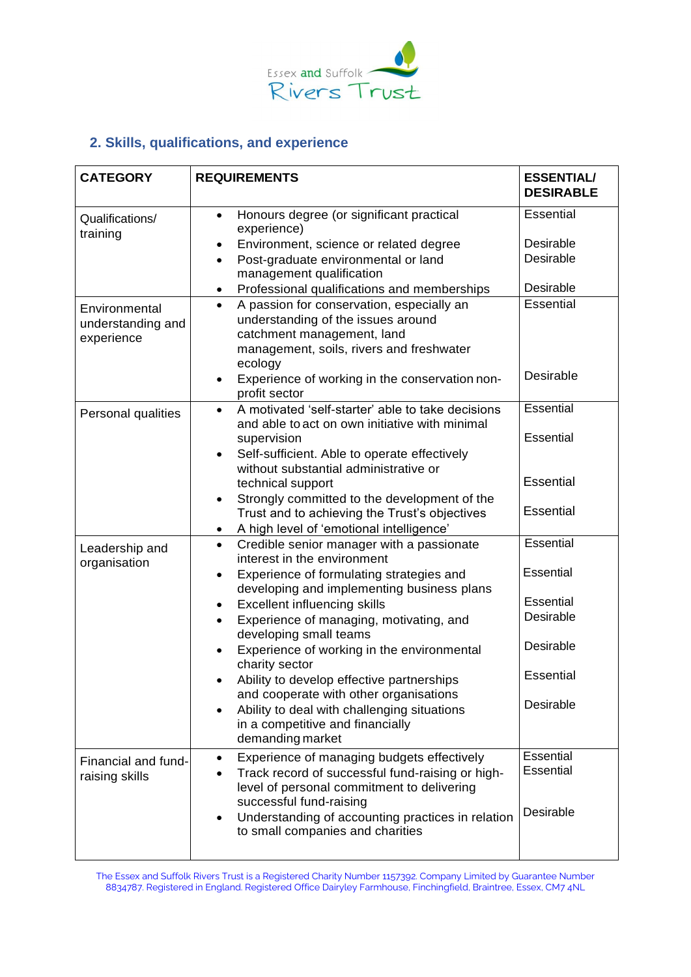

### **2. Skills, qualifications, and experience**

| <b>CATEGORY</b>                                  | <b>REQUIREMENTS</b>                                                                                                                                                                  | <b>ESSENTIAL/</b><br><b>DESIRABLE</b> |
|--------------------------------------------------|--------------------------------------------------------------------------------------------------------------------------------------------------------------------------------------|---------------------------------------|
| Qualifications/<br>training                      | Honours degree (or significant practical<br>$\bullet$<br>experience)                                                                                                                 | <b>Essential</b>                      |
|                                                  | Environment, science or related degree<br>$\bullet$                                                                                                                                  | Desirable                             |
|                                                  | Post-graduate environmental or land<br>$\bullet$<br>management qualification                                                                                                         | Desirable                             |
|                                                  | Professional qualifications and memberships<br>$\bullet$                                                                                                                             | Desirable                             |
| Environmental<br>understanding and<br>experience | A passion for conservation, especially an<br>$\bullet$<br>understanding of the issues around<br>catchment management, land<br>management, soils, rivers and freshwater<br>ecology    | Essential                             |
|                                                  | Experience of working in the conservation non-<br>$\bullet$<br>profit sector                                                                                                         | Desirable                             |
| Personal qualities                               | A motivated 'self-starter' able to take decisions<br>$\bullet$<br>and able to act on own initiative with minimal                                                                     | Essential                             |
|                                                  | supervision<br>Self-sufficient. Able to operate effectively<br>$\bullet$<br>without substantial administrative or                                                                    | Essential                             |
|                                                  | technical support                                                                                                                                                                    | <b>Essential</b>                      |
|                                                  | Strongly committed to the development of the<br>٠<br>Trust and to achieving the Trust's objectives<br>A high level of 'emotional intelligence'<br>$\bullet$                          | <b>Essential</b>                      |
| Leadership and<br>organisation                   | Credible senior manager with a passionate<br>$\bullet$<br>interest in the environment                                                                                                | Essential                             |
|                                                  | Experience of formulating strategies and<br>$\bullet$<br>developing and implementing business plans                                                                                  | Essential                             |
|                                                  | <b>Excellent influencing skills</b><br>٠                                                                                                                                             | Essential                             |
|                                                  | Experience of managing, motivating, and<br>$\bullet$<br>developing small teams                                                                                                       | Desirable                             |
|                                                  | Experience of working in the environmental<br>charity sector                                                                                                                         | Desirable                             |
|                                                  | Ability to develop effective partnerships<br>and cooperate with other organisations                                                                                                  | <b>Essential</b>                      |
|                                                  | Ability to deal with challenging situations<br>$\bullet$<br>in a competitive and financially<br>demanding market                                                                     | Desirable                             |
| Financial and fund-<br>raising skills            | Experience of managing budgets effectively<br>$\bullet$<br>Track record of successful fund-raising or high-<br>level of personal commitment to delivering<br>successful fund-raising | Essential<br>Essential<br>Desirable   |
|                                                  | Understanding of accounting practices in relation<br>$\bullet$<br>to small companies and charities                                                                                   |                                       |